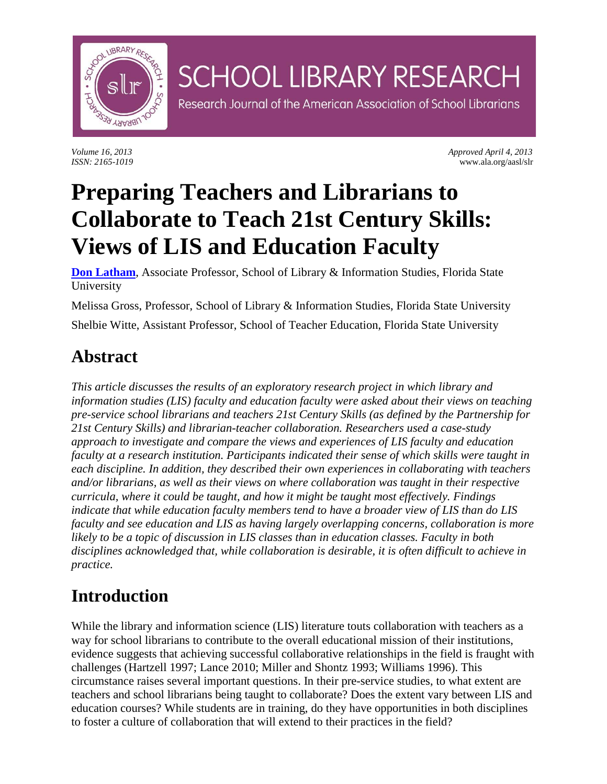

*Volume 16, 2013 Approved April 4, 2013 ISSN: 2165-1019* www.ala.org/aasl/slr

# **Preparing Teachers and Librarians to Collaborate to Teach 21st Century Skills: Views of LIS and Education Faculty**

**SCHOOL LIBRARY RESEARCH** 

Research Journal of the American Association of School Librarians

**[Don Latham](mailto:dlatham@fsu.edu)**, Associate Professor, School of Library & Information Studies, Florida State University

Melissa Gross, Professor, School of Library & Information Studies, Florida State University Shelbie Witte, Assistant Professor, School of Teacher Education, Florida State University

# **Abstract**

*This article discusses the results of an exploratory research project in which library and information studies (LIS) faculty and education faculty were asked about their views on teaching pre-service school librarians and teachers 21st Century Skills (as defined by the Partnership for 21st Century Skills) and librarian-teacher collaboration. Researchers used a case-study approach to investigate and compare the views and experiences of LIS faculty and education faculty at a research institution. Participants indicated their sense of which skills were taught in each discipline. In addition, they described their own experiences in collaborating with teachers and/or librarians, as well as their views on where collaboration was taught in their respective curricula, where it could be taught, and how it might be taught most effectively. Findings indicate that while education faculty members tend to have a broader view of LIS than do LIS faculty and see education and LIS as having largely overlapping concerns, collaboration is more likely to be a topic of discussion in LIS classes than in education classes. Faculty in both disciplines acknowledged that, while collaboration is desirable, it is often difficult to achieve in practice.*

## **Introduction**

While the library and information science (LIS) literature touts collaboration with teachers as a way for school librarians to contribute to the overall educational mission of their institutions, evidence suggests that achieving successful collaborative relationships in the field is fraught with challenges (Hartzell 1997; Lance 2010; Miller and Shontz 1993; Williams 1996). This circumstance raises several important questions. In their pre-service studies, to what extent are teachers and school librarians being taught to collaborate? Does the extent vary between LIS and education courses? While students are in training, do they have opportunities in both disciplines to foster a culture of collaboration that will extend to their practices in the field?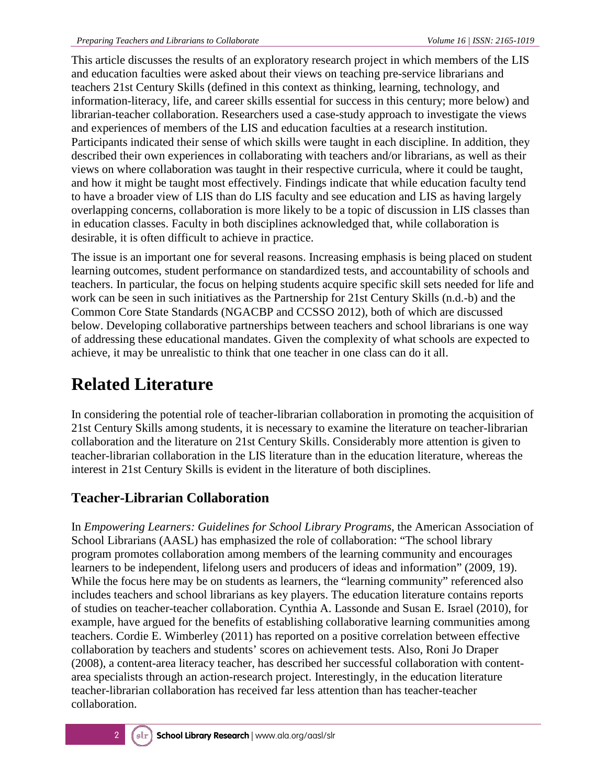This article discusses the results of an exploratory research project in which members of the LIS and education faculties were asked about their views on teaching pre-service librarians and teachers 21st Century Skills (defined in this context as thinking, learning, technology, and information-literacy, life, and career skills essential for success in this century; more below) and librarian-teacher collaboration. Researchers used a case-study approach to investigate the views and experiences of members of the LIS and education faculties at a research institution. Participants indicated their sense of which skills were taught in each discipline. In addition, they described their own experiences in collaborating with teachers and/or librarians, as well as their views on where collaboration was taught in their respective curricula, where it could be taught, and how it might be taught most effectively. Findings indicate that while education faculty tend to have a broader view of LIS than do LIS faculty and see education and LIS as having largely overlapping concerns, collaboration is more likely to be a topic of discussion in LIS classes than in education classes. Faculty in both disciplines acknowledged that, while collaboration is desirable, it is often difficult to achieve in practice.

The issue is an important one for several reasons. Increasing emphasis is being placed on student learning outcomes, student performance on standardized tests, and accountability of schools and teachers. In particular, the focus on helping students acquire specific skill sets needed for life and work can be seen in such initiatives as the Partnership for 21st Century Skills (n.d.-b) and the Common Core State Standards (NGACBP and CCSSO 2012), both of which are discussed below. Developing collaborative partnerships between teachers and school librarians is one way of addressing these educational mandates. Given the complexity of what schools are expected to achieve, it may be unrealistic to think that one teacher in one class can do it all.

# **Related Literature**

In considering the potential role of teacher-librarian collaboration in promoting the acquisition of 21st Century Skills among students, it is necessary to examine the literature on teacher-librarian collaboration and the literature on 21st Century Skills. Considerably more attention is given to teacher-librarian collaboration in the LIS literature than in the education literature, whereas the interest in 21st Century Skills is evident in the literature of both disciplines.

### **Teacher-Librarian Collaboration**

In *Empowering Learners: Guidelines for School Library Programs*, the American Association of School Librarians (AASL) has emphasized the role of collaboration: "The school library program promotes collaboration among members of the learning community and encourages learners to be independent, lifelong users and producers of ideas and information" (2009, 19). While the focus here may be on students as learners, the "learning community" referenced also includes teachers and school librarians as key players. The education literature contains reports of studies on teacher-teacher collaboration. Cynthia A. Lassonde and Susan E. Israel (2010), for example, have argued for the benefits of establishing collaborative learning communities among teachers. Cordie E. Wimberley (2011) has reported on a positive correlation between effective collaboration by teachers and students' scores on achievement tests. Also, Roni Jo Draper (2008), a content-area literacy teacher, has described her successful collaboration with contentarea specialists through an action-research project. Interestingly, in the education literature teacher-librarian collaboration has received far less attention than has teacher-teacher collaboration.

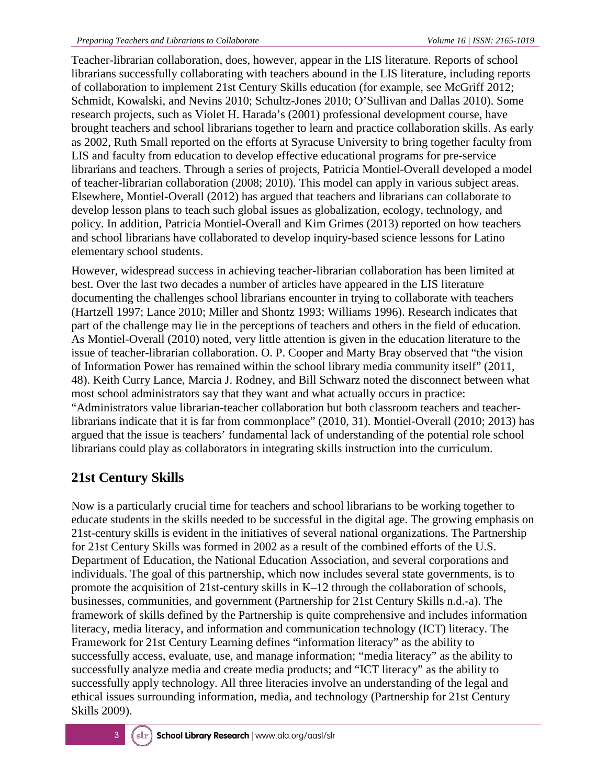Teacher-librarian collaboration, does, however, appear in the LIS literature. Reports of school librarians successfully collaborating with teachers abound in the LIS literature, including reports of collaboration to implement 21st Century Skills education (for example, see McGriff 2012; Schmidt, Kowalski, and Nevins 2010; Schultz-Jones 2010; O'Sullivan and Dallas 2010). Some research projects, such as Violet H. Harada's (2001) professional development course, have brought teachers and school librarians together to learn and practice collaboration skills. As early as 2002, Ruth Small reported on the efforts at Syracuse University to bring together faculty from LIS and faculty from education to develop effective educational programs for pre-service librarians and teachers. Through a series of projects, Patricia Montiel-Overall developed a model of teacher-librarian collaboration (2008; 2010). This model can apply in various subject areas. Elsewhere, Montiel-Overall (2012) has argued that teachers and librarians can collaborate to develop lesson plans to teach such global issues as globalization, ecology, technology, and policy. In addition, Patricia Montiel-Overall and Kim Grimes (2013) reported on how teachers and school librarians have collaborated to develop inquiry-based science lessons for Latino elementary school students.

However, widespread success in achieving teacher-librarian collaboration has been limited at best. Over the last two decades a number of articles have appeared in the LIS literature documenting the challenges school librarians encounter in trying to collaborate with teachers (Hartzell 1997; Lance 2010; Miller and Shontz 1993; Williams 1996). Research indicates that part of the challenge may lie in the perceptions of teachers and others in the field of education. As Montiel-Overall (2010) noted, very little attention is given in the education literature to the issue of teacher-librarian collaboration. O. P. Cooper and Marty Bray observed that "the vision of Information Power has remained within the school library media community itself" (2011, 48). Keith Curry Lance, Marcia J. Rodney, and Bill Schwarz noted the disconnect between what most school administrators say that they want and what actually occurs in practice: "Administrators value librarian-teacher collaboration but both classroom teachers and teacherlibrarians indicate that it is far from commonplace" (2010, 31). Montiel-Overall (2010; 2013) has argued that the issue is teachers' fundamental lack of understanding of the potential role school librarians could play as collaborators in integrating skills instruction into the curriculum.

### **21st Century Skills**

Now is a particularly crucial time for teachers and school librarians to be working together to educate students in the skills needed to be successful in the digital age. The growing emphasis on 21st-century skills is evident in the initiatives of several national organizations. The Partnership for 21st Century Skills was formed in 2002 as a result of the combined efforts of the U.S. Department of Education, the National Education Association, and several corporations and individuals. The goal of this partnership, which now includes several state governments, is to promote the acquisition of 21st-century skills in K–12 through the collaboration of schools, businesses, communities, and government (Partnership for 21st Century Skills n.d.-a). The framework of skills defined by the Partnership is quite comprehensive and includes information literacy, media literacy, and information and communication technology (ICT) literacy. The Framework for 21st Century Learning defines "information literacy" as the ability to successfully access, evaluate, use, and manage information; "media literacy" as the ability to successfully analyze media and create media products; and "ICT literacy" as the ability to successfully apply technology. All three literacies involve an understanding of the legal and ethical issues surrounding information, media, and technology (Partnership for 21st Century Skills 2009).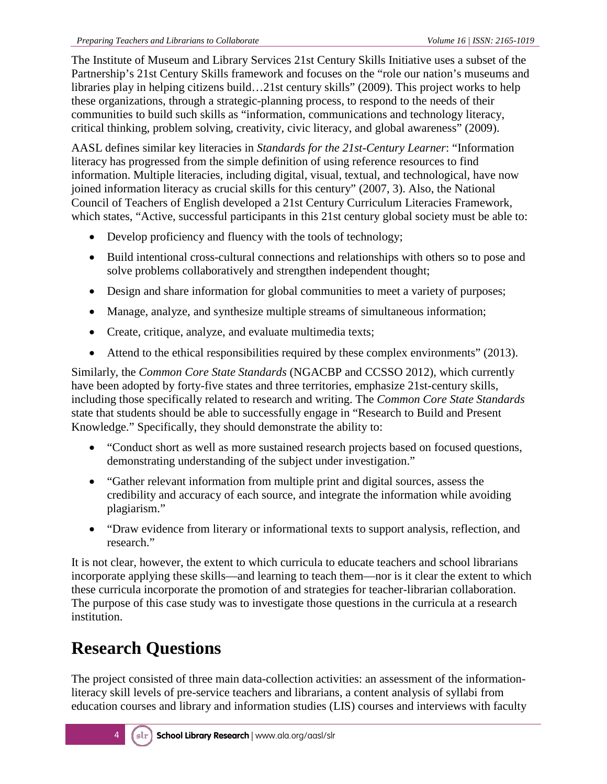The Institute of Museum and Library Services 21st Century Skills Initiative uses a subset of the Partnership's 21st Century Skills framework and focuses on the "role our nation's museums and libraries play in helping citizens build…21st century skills" (2009). This project works to help these organizations, through a strategic-planning process, to respond to the needs of their communities to build such skills as "information, communications and technology literacy, critical thinking, problem solving, creativity, civic literacy, and global awareness" (2009).

AASL defines similar key literacies in *Standards for the 21st-Century Learner*: "Information literacy has progressed from the simple definition of using reference resources to find information. Multiple literacies, including digital, visual, textual, and technological, have now joined information literacy as crucial skills for this century" (2007, 3). Also, the National Council of Teachers of English developed a 21st Century Curriculum Literacies Framework*,*  which states, "Active, successful participants in this 21st century global society must be able to:

- Develop proficiency and fluency with the tools of technology;
- Build intentional cross-cultural connections and relationships with others so to pose and solve problems collaboratively and strengthen independent thought;
- Design and share information for global communities to meet a variety of purposes;
- Manage, analyze, and synthesize multiple streams of simultaneous information;
- Create, critique, analyze, and evaluate multimedia texts;
- Attend to the ethical responsibilities required by these complex environments" (2013).

Similarly, the *Common Core State Standards* (NGACBP and CCSSO 2012), which currently have been adopted by forty-five states and three territories, emphasize 21st-century skills, including those specifically related to research and writing. The *Common Core State Standards*  state that students should be able to successfully engage in "Research to Build and Present Knowledge." Specifically, they should demonstrate the ability to:

- "Conduct short as well as more sustained research projects based on focused questions, demonstrating understanding of the subject under investigation."
- "Gather relevant information from multiple print and digital sources, assess the credibility and accuracy of each source, and integrate the information while avoiding plagiarism."
- "Draw evidence from literary or informational texts to support analysis, reflection, and research."

It is not clear, however, the extent to which curricula to educate teachers and school librarians incorporate applying these skills—and learning to teach them—nor is it clear the extent to which these curricula incorporate the promotion of and strategies for teacher-librarian collaboration. The purpose of this case study was to investigate those questions in the curricula at a research institution.

# **Research Questions**

The project consisted of three main data-collection activities: an assessment of the informationliteracy skill levels of pre-service teachers and librarians, a content analysis of syllabi from education courses and library and information studies (LIS) courses and interviews with faculty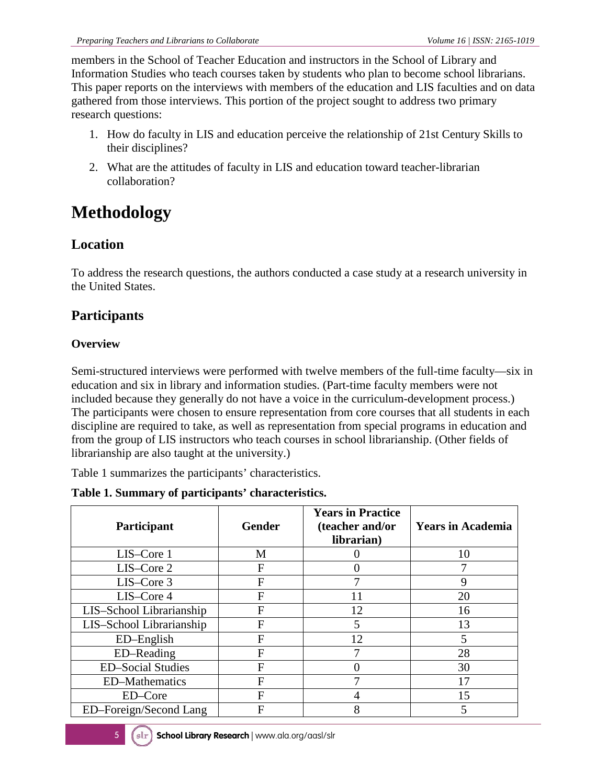members in the School of Teacher Education and instructors in the School of Library and Information Studies who teach courses taken by students who plan to become school librarians. This paper reports on the interviews with members of the education and LIS faculties and on data gathered from those interviews. This portion of the project sought to address two primary research questions:

- 1. How do faculty in LIS and education perceive the relationship of 21st Century Skills to their disciplines?
- 2. What are the attitudes of faculty in LIS and education toward teacher-librarian collaboration?

# **Methodology**

### **Location**

To address the research questions, the authors conducted a case study at a research university in the United States.

### **Participants**

### **Overview**

Semi-structured interviews were performed with twelve members of the full-time faculty—six in education and six in library and information studies. (Part-time faculty members were not included because they generally do not have a voice in the curriculum-development process.) The participants were chosen to ensure representation from core courses that all students in each discipline are required to take, as well as representation from special programs in education and from the group of LIS instructors who teach courses in school librarianship. (Other fields of librarianship are also taught at the university.)

Table 1 summarizes the participants' characteristics.

#### **Table 1. Summary of participants' characteristics.**

| <b>Participant</b>       | <b>Gender</b>  | <b>Years in Practice</b><br>(teacher and/or<br>librarian) | <b>Years in Academia</b> |
|--------------------------|----------------|-----------------------------------------------------------|--------------------------|
| LIS-Core 1               | M              |                                                           | 10                       |
| LIS-Core 2               | F              |                                                           |                          |
| LIS-Core 3               | F              |                                                           | 9                        |
| LIS-Core 4               | F              | 11                                                        | 20                       |
| LIS-School Librarianship | F              | 12                                                        | 16                       |
| LIS-School Librarianship | $\overline{F}$ | 5                                                         | 13                       |
| ED-English               | F              | 12                                                        | 5                        |
| ED-Reading               | $\overline{F}$ |                                                           | 28                       |
| <b>ED-Social Studies</b> | F              |                                                           | 30                       |
| <b>ED-Mathematics</b>    | F              |                                                           | 17                       |
| ED-Core                  | F              |                                                           | 15                       |
| ED-Foreign/Second Lang   | F              | 8                                                         |                          |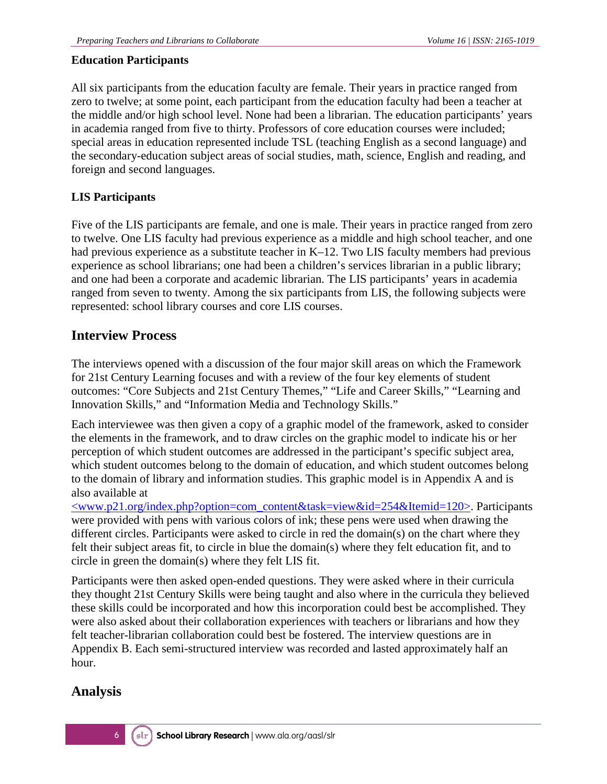#### **Education Participants**

All six participants from the education faculty are female. Their years in practice ranged from zero to twelve; at some point, each participant from the education faculty had been a teacher at the middle and/or high school level. None had been a librarian. The education participants' years in academia ranged from five to thirty. Professors of core education courses were included; special areas in education represented include TSL (teaching English as a second language) and the secondary-education subject areas of social studies, math, science, English and reading, and foreign and second languages.

### **LIS Participants**

Five of the LIS participants are female, and one is male. Their years in practice ranged from zero to twelve. One LIS faculty had previous experience as a middle and high school teacher, and one had previous experience as a substitute teacher in K–12. Two LIS faculty members had previous experience as school librarians; one had been a children's services librarian in a public library; and one had been a corporate and academic librarian. The LIS participants' years in academia ranged from seven to twenty. Among the six participants from LIS, the following subjects were represented: school library courses and core LIS courses.

### **Interview Process**

The interviews opened with a discussion of the four major skill areas on which the Framework for 21st Century Learning focuses and with a review of the four key elements of student outcomes: "Core Subjects and 21st Century Themes," "Life and Career Skills," "Learning and Innovation Skills," and "Information Media and Technology Skills."

Each interviewee was then given a copy of a graphic model of the framework, asked to consider the elements in the framework, and to draw circles on the graphic model to indicate his or her perception of which student outcomes are addressed in the participant's specific subject area, which student outcomes belong to the domain of education, and which student outcomes belong to the domain of library and information studies. This graphic model is in Appendix A and is also available at

[<www.p21.org/index.php?option=com\\_content&task=view&id=254&Itemid=120>.](http://www.p21.org/index.php?option=com_content&task=view&id=254&Itemid=120) Participants were provided with pens with various colors of ink; these pens were used when drawing the different circles. Participants were asked to circle in red the domain(s) on the chart where they felt their subject areas fit, to circle in blue the domain(s) where they felt education fit, and to circle in green the domain(s) where they felt LIS fit.

Participants were then asked open-ended questions. They were asked where in their curricula they thought 21st Century Skills were being taught and also where in the curricula they believed these skills could be incorporated and how this incorporation could best be accomplished. They were also asked about their collaboration experiences with teachers or librarians and how they felt teacher-librarian collaboration could best be fostered. The interview questions are in Appendix B. Each semi-structured interview was recorded and lasted approximately half an hour.

### **Analysis**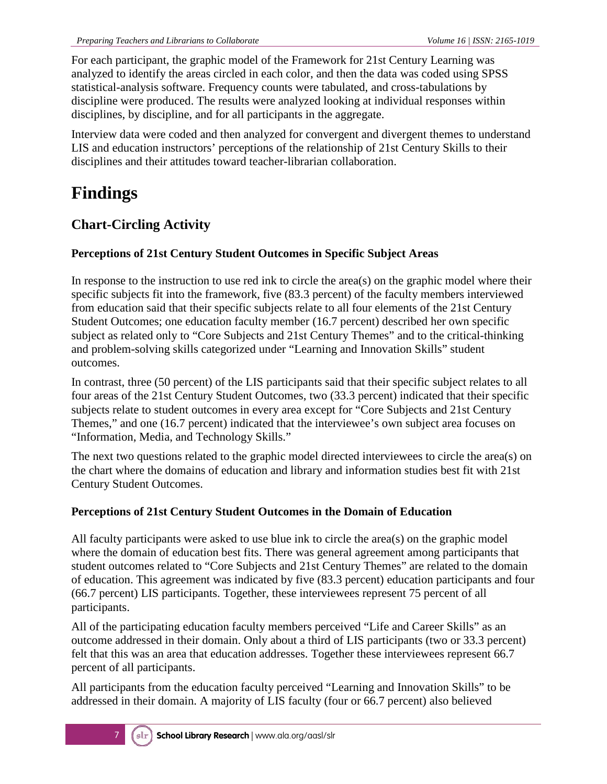For each participant, the graphic model of the Framework for 21st Century Learning was analyzed to identify the areas circled in each color, and then the data was coded using SPSS statistical-analysis software. Frequency counts were tabulated, and cross-tabulations by discipline were produced. The results were analyzed looking at individual responses within disciplines, by discipline, and for all participants in the aggregate.

Interview data were coded and then analyzed for convergent and divergent themes to understand LIS and education instructors' perceptions of the relationship of 21st Century Skills to their disciplines and their attitudes toward teacher-librarian collaboration.

# **Findings**

### **Chart-Circling Activity**

### **Perceptions of 21st Century Student Outcomes in Specific Subject Areas**

In response to the instruction to use red ink to circle the area(s) on the graphic model where their specific subjects fit into the framework, five (83.3 percent) of the faculty members interviewed from education said that their specific subjects relate to all four elements of the 21st Century Student Outcomes; one education faculty member (16.7 percent) described her own specific subject as related only to "Core Subjects and 21st Century Themes" and to the critical-thinking and problem-solving skills categorized under "Learning and Innovation Skills" student outcomes.

In contrast, three (50 percent) of the LIS participants said that their specific subject relates to all four areas of the 21st Century Student Outcomes, two (33.3 percent) indicated that their specific subjects relate to student outcomes in every area except for "Core Subjects and 21st Century Themes," and one (16.7 percent) indicated that the interviewee's own subject area focuses on "Information, Media, and Technology Skills."

The next two questions related to the graphic model directed interviewees to circle the area(s) on the chart where the domains of education and library and information studies best fit with 21st Century Student Outcomes.

### **Perceptions of 21st Century Student Outcomes in the Domain of Education**

All faculty participants were asked to use blue ink to circle the area(s) on the graphic model where the domain of education best fits. There was general agreement among participants that student outcomes related to "Core Subjects and 21st Century Themes" are related to the domain of education. This agreement was indicated by five (83.3 percent) education participants and four (66.7 percent) LIS participants. Together, these interviewees represent 75 percent of all participants.

All of the participating education faculty members perceived "Life and Career Skills" as an outcome addressed in their domain. Only about a third of LIS participants (two or 33.3 percent) felt that this was an area that education addresses. Together these interviewees represent 66.7 percent of all participants.

All participants from the education faculty perceived "Learning and Innovation Skills" to be addressed in their domain. A majority of LIS faculty (four or 66.7 percent) also believed

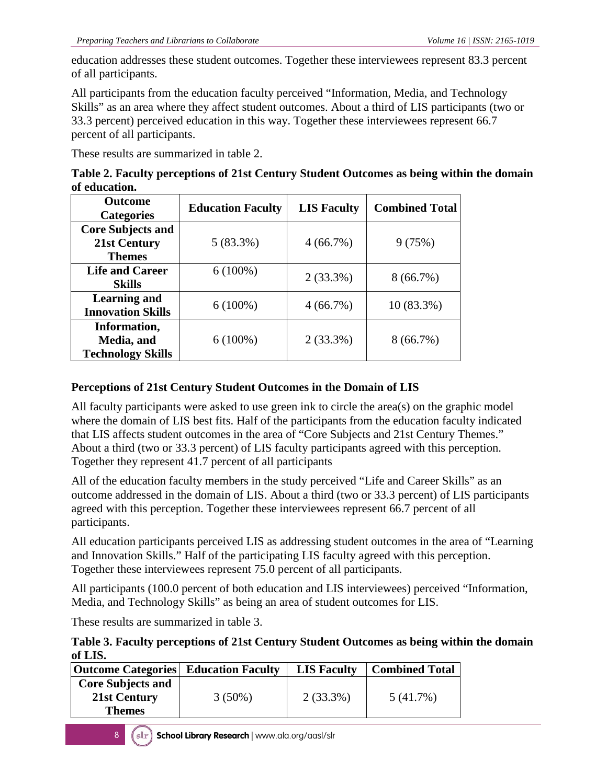education addresses these student outcomes. Together these interviewees represent 83.3 percent of all participants.

All participants from the education faculty perceived "Information, Media, and Technology Skills" as an area where they affect student outcomes. About a third of LIS participants (two or 33.3 percent) perceived education in this way. Together these interviewees represent 66.7 percent of all participants.

These results are summarized in table 2.

| Table 2. Faculty perceptions of 21st Century Student Outcomes as being within the domain |  |
|------------------------------------------------------------------------------------------|--|
| of education.                                                                            |  |

| <b>Outcome</b><br><b>Categories</b>    | <b>Education Faculty</b> | <b>LIS Faculty</b> | <b>Combined Total</b> |
|----------------------------------------|--------------------------|--------------------|-----------------------|
| <b>Core Subjects and</b>               |                          |                    |                       |
| 21st Century<br><b>Themes</b>          | 5(83.3%)                 | 4(66.7%)           | 9(75%)                |
| <b>Life and Career</b>                 | $6(100\%)$               | $2(33.3\%)$        | $8(66.7\%)$           |
| <b>Skills</b><br><b>Learning and</b>   |                          |                    |                       |
| <b>Innovation Skills</b>               | $6(100\%)$               | 4(66.7%)           | 10 (83.3%)            |
| Information,                           |                          |                    |                       |
| Media, and<br><b>Technology Skills</b> | $6(100\%)$               | $2(33.3\%)$        | $8(66.7\%)$           |

### **Perceptions of 21st Century Student Outcomes in the Domain of LIS**

All faculty participants were asked to use green ink to circle the area(s) on the graphic model where the domain of LIS best fits. Half of the participants from the education faculty indicated that LIS affects student outcomes in the area of "Core Subjects and 21st Century Themes." About a third (two or 33.3 percent) of LIS faculty participants agreed with this perception. Together they represent 41.7 percent of all participants

All of the education faculty members in the study perceived "Life and Career Skills" as an outcome addressed in the domain of LIS. About a third (two or 33.3 percent) of LIS participants agreed with this perception. Together these interviewees represent 66.7 percent of all participants.

All education participants perceived LIS as addressing student outcomes in the area of "Learning and Innovation Skills." Half of the participating LIS faculty agreed with this perception. Together these interviewees represent 75.0 percent of all participants.

All participants (100.0 percent of both education and LIS interviewees) perceived "Information, Media, and Technology Skills" as being an area of student outcomes for LIS.

These results are summarized in table 3.

**Table 3. Faculty perceptions of 21st Century Student Outcomes as being within the domain of LIS.**

| <b>Outcome Categories</b> Education Faculty               |           | <b>LIS Faculty</b> | <b>Combined Total</b> |
|-----------------------------------------------------------|-----------|--------------------|-----------------------|
| <b>Core Subjects and</b><br>21st Century<br><b>Themes</b> | $3(50\%)$ | $2(33.3\%)$        | 5(41.7%)              |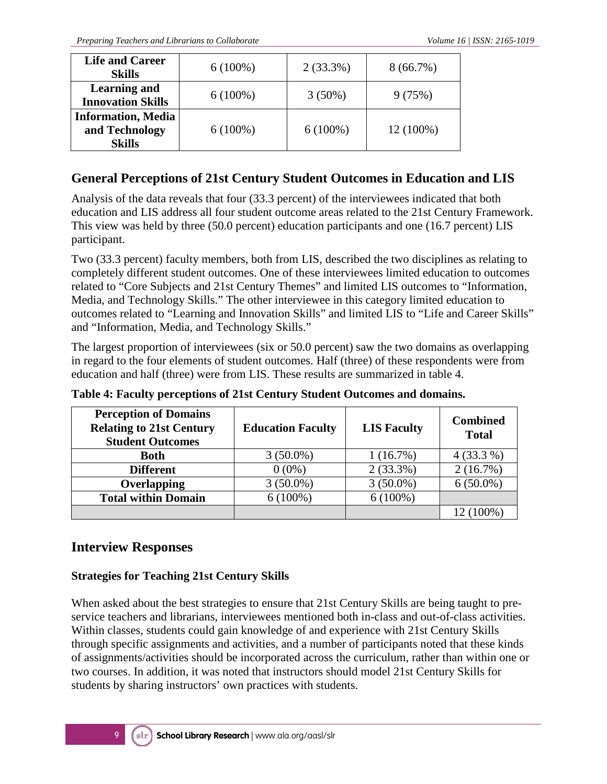| <b>Life and Career</b><br><b>Skills</b>                      | $6(100\%)$ | $2(33.3\%)$ | $8(66.7\%)$ |
|--------------------------------------------------------------|------------|-------------|-------------|
| <b>Learning and</b><br><b>Innovation Skills</b>              | $6(100\%)$ | $3(50\%)$   | 9(75%)      |
| <b>Information, Media</b><br>and Technology<br><b>Skills</b> | $6(100\%)$ | $6(100\%)$  | 12 (100%)   |

### **General Perceptions of 21st Century Student Outcomes in Education and LIS**

Analysis of the data reveals that four (33.3 percent) of the interviewees indicated that both education and LIS address all four student outcome areas related to the 21st Century Framework. This view was held by three (50.0 percent) education participants and one (16.7 percent) LIS participant.

Two (33.3 percent) faculty members, both from LIS, described the two disciplines as relating to completely different student outcomes. One of these interviewees limited education to outcomes related to "Core Subjects and 21st Century Themes" and limited LIS outcomes to "Information, Media, and Technology Skills." The other interviewee in this category limited education to outcomes related to "Learning and Innovation Skills" and limited LIS to "Life and Career Skills" and "Information, Media, and Technology Skills."

The largest proportion of interviewees (six or 50.0 percent) saw the two domains as overlapping in regard to the four elements of student outcomes. Half (three) of these respondents were from education and half (three) were from LIS. These results are summarized in table 4.

| <b>Perception of Domains</b><br><b>Relating to 21st Century</b><br><b>Student Outcomes</b> | <b>Education Faculty</b> | <b>LIS Faculty</b> | <b>Combined</b><br><b>Total</b> |
|--------------------------------------------------------------------------------------------|--------------------------|--------------------|---------------------------------|
| <b>Both</b>                                                                                | $3(50.0\%)$              | 1(16.7%)           | $4(33.3\%)$                     |
| <b>Different</b>                                                                           | $0(0\%)$                 | $2(33.3\%)$        | 2(16.7%)                        |
| <b>Overlapping</b>                                                                         | $3(50.0\%)$              | $3(50.0\%)$        | $6(50.0\%)$                     |
| <b>Total within Domain</b>                                                                 | $6(100\%)$               | $6(100\%)$         |                                 |
|                                                                                            |                          |                    | 12 (100%)                       |

**Table 4: Faculty perceptions of 21st Century Student Outcomes and domains.**

### **Interview Responses**

#### **Strategies for Teaching 21st Century Skills**

When asked about the best strategies to ensure that 21st Century Skills are being taught to preservice teachers and librarians, interviewees mentioned both in-class and out-of-class activities. Within classes, students could gain knowledge of and experience with 21st Century Skills through specific assignments and activities, and a number of participants noted that these kinds of assignments/activities should be incorporated across the curriculum, rather than within one or two courses. In addition, it was noted that instructors should model 21st Century Skills for students by sharing instructors' own practices with students.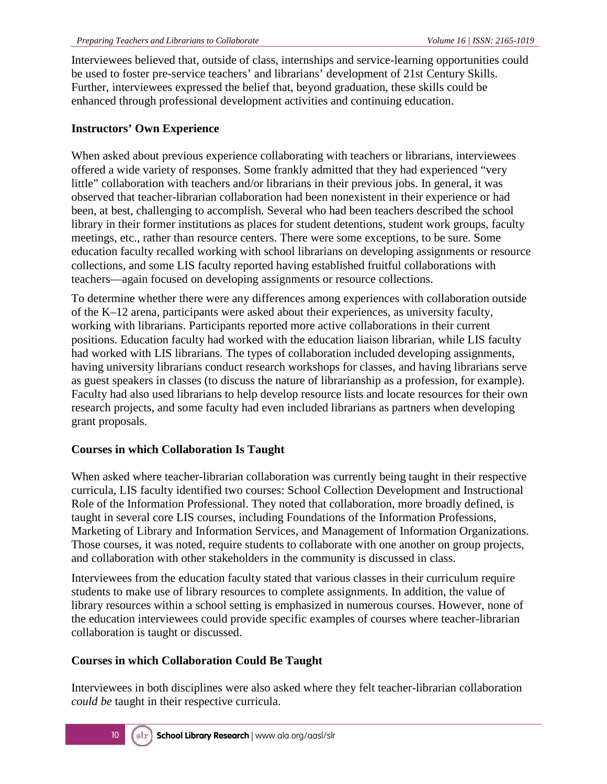Interviewees believed that, outside of class, internships and service-learning opportunities could be used to foster pre-service teachers' and librarians' development of 21st Century Skills. Further, interviewees expressed the belief that, beyond graduation, these skills could be enhanced through professional development activities and continuing education.

#### **Instructors' Own Experience**

When asked about previous experience collaborating with teachers or librarians, interviewees offered a wide variety of responses. Some frankly admitted that they had experienced "very little" collaboration with teachers and/or librarians in their previous jobs. In general, it was observed that teacher-librarian collaboration had been nonexistent in their experience or had been, at best, challenging to accomplish. Several who had been teachers described the school library in their former institutions as places for student detentions, student work groups, faculty meetings, etc., rather than resource centers. There were some exceptions, to be sure. Some education faculty recalled working with school librarians on developing assignments or resource collections, and some LIS faculty reported having established fruitful collaborations with teachers—again focused on developing assignments or resource collections.

To determine whether there were any differences among experiences with collaboration outside of the K–12 arena, participants were asked about their experiences, as university faculty, working with librarians. Participants reported more active collaborations in their current positions. Education faculty had worked with the education liaison librarian, while LIS faculty had worked with LIS librarians. The types of collaboration included developing assignments, having university librarians conduct research workshops for classes, and having librarians serve as guest speakers in classes (to discuss the nature of librarianship as a profession, for example). Faculty had also used librarians to help develop resource lists and locate resources for their own research projects, and some faculty had even included librarians as partners when developing grant proposals.

#### **Courses in which Collaboration Is Taught**

When asked where teacher-librarian collaboration was currently being taught in their respective curricula, LIS faculty identified two courses: School Collection Development and Instructional Role of the Information Professional. They noted that collaboration, more broadly defined, is taught in several core LIS courses, including Foundations of the Information Professions, Marketing of Library and Information Services, and Management of Information Organizations. Those courses, it was noted, require students to collaborate with one another on group projects, and collaboration with other stakeholders in the community is discussed in class.

Interviewees from the education faculty stated that various classes in their curriculum require students to make use of library resources to complete assignments. In addition, the value of library resources within a school setting is emphasized in numerous courses. However, none of the education interviewees could provide specific examples of courses where teacher-librarian collaboration is taught or discussed.

#### **Courses in which Collaboration Could Be Taught**

Interviewees in both disciplines were also asked where they felt teacher-librarian collaboration *could be* taught in their respective curricula.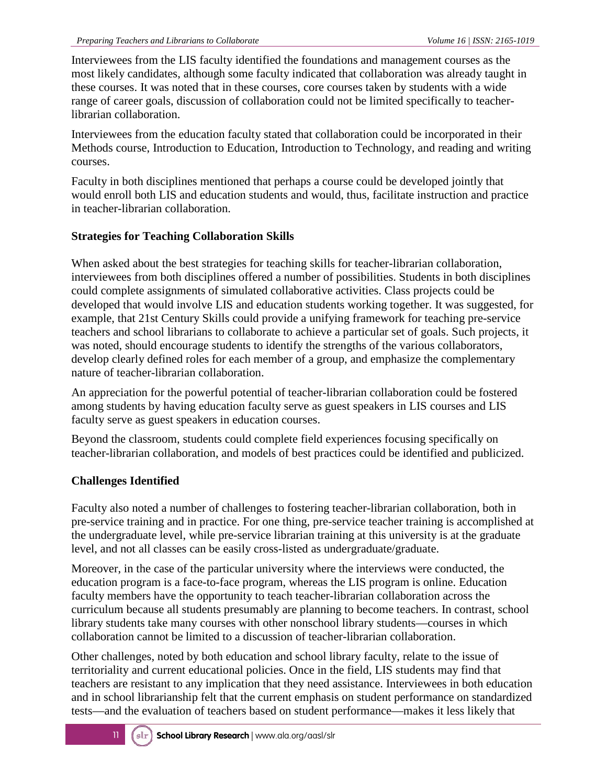Interviewees from the LIS faculty identified the foundations and management courses as the most likely candidates, although some faculty indicated that collaboration was already taught in these courses. It was noted that in these courses, core courses taken by students with a wide range of career goals, discussion of collaboration could not be limited specifically to teacherlibrarian collaboration.

Interviewees from the education faculty stated that collaboration could be incorporated in their Methods course, Introduction to Education, Introduction to Technology, and reading and writing courses.

Faculty in both disciplines mentioned that perhaps a course could be developed jointly that would enroll both LIS and education students and would, thus, facilitate instruction and practice in teacher-librarian collaboration.

### **Strategies for Teaching Collaboration Skills**

When asked about the best strategies for teaching skills for teacher-librarian collaboration, interviewees from both disciplines offered a number of possibilities. Students in both disciplines could complete assignments of simulated collaborative activities. Class projects could be developed that would involve LIS and education students working together. It was suggested, for example, that 21st Century Skills could provide a unifying framework for teaching pre-service teachers and school librarians to collaborate to achieve a particular set of goals. Such projects, it was noted, should encourage students to identify the strengths of the various collaborators, develop clearly defined roles for each member of a group, and emphasize the complementary nature of teacher-librarian collaboration.

An appreciation for the powerful potential of teacher-librarian collaboration could be fostered among students by having education faculty serve as guest speakers in LIS courses and LIS faculty serve as guest speakers in education courses.

Beyond the classroom, students could complete field experiences focusing specifically on teacher-librarian collaboration, and models of best practices could be identified and publicized.

### **Challenges Identified**

Faculty also noted a number of challenges to fostering teacher-librarian collaboration, both in pre-service training and in practice. For one thing, pre-service teacher training is accomplished at the undergraduate level, while pre-service librarian training at this university is at the graduate level, and not all classes can be easily cross-listed as undergraduate/graduate.

Moreover, in the case of the particular university where the interviews were conducted, the education program is a face-to-face program, whereas the LIS program is online. Education faculty members have the opportunity to teach teacher-librarian collaboration across the curriculum because all students presumably are planning to become teachers. In contrast, school library students take many courses with other nonschool library students—courses in which collaboration cannot be limited to a discussion of teacher-librarian collaboration.

Other challenges, noted by both education and school library faculty, relate to the issue of territoriality and current educational policies. Once in the field, LIS students may find that teachers are resistant to any implication that they need assistance. Interviewees in both education and in school librarianship felt that the current emphasis on student performance on standardized tests—and the evaluation of teachers based on student performance—makes it less likely that

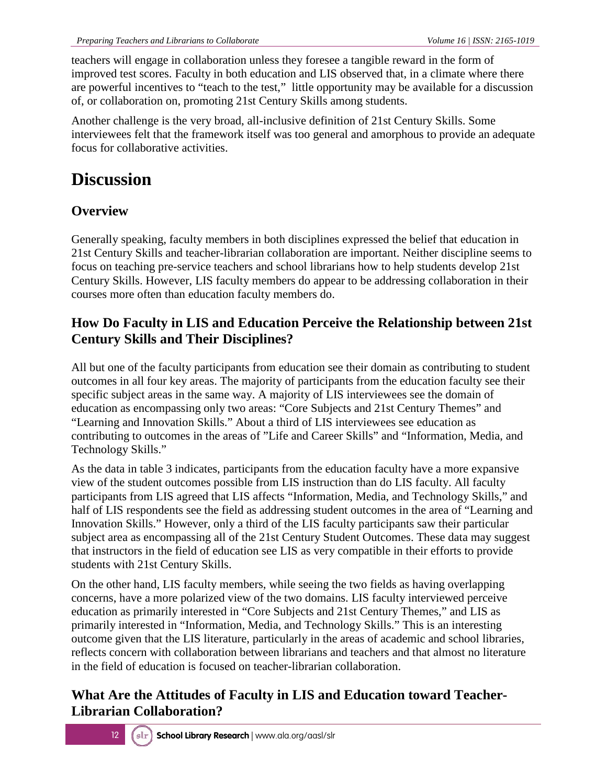teachers will engage in collaboration unless they foresee a tangible reward in the form of improved test scores. Faculty in both education and LIS observed that, in a climate where there are powerful incentives to "teach to the test," little opportunity may be available for a discussion of, or collaboration on, promoting 21st Century Skills among students.

Another challenge is the very broad, all-inclusive definition of 21st Century Skills. Some interviewees felt that the framework itself was too general and amorphous to provide an adequate focus for collaborative activities.

# **Discussion**

### **Overview**

Generally speaking, faculty members in both disciplines expressed the belief that education in 21st Century Skills and teacher-librarian collaboration are important. Neither discipline seems to focus on teaching pre-service teachers and school librarians how to help students develop 21st Century Skills. However, LIS faculty members do appear to be addressing collaboration in their courses more often than education faculty members do.

### **How Do Faculty in LIS and Education Perceive the Relationship between 21st Century Skills and Their Disciplines?**

All but one of the faculty participants from education see their domain as contributing to student outcomes in all four key areas. The majority of participants from the education faculty see their specific subject areas in the same way. A majority of LIS interviewees see the domain of education as encompassing only two areas: "Core Subjects and 21st Century Themes" and "Learning and Innovation Skills." About a third of LIS interviewees see education as contributing to outcomes in the areas of "Life and Career Skills" and "Information, Media, and Technology Skills."

As the data in table 3 indicates, participants from the education faculty have a more expansive view of the student outcomes possible from LIS instruction than do LIS faculty. All faculty participants from LIS agreed that LIS affects "Information, Media, and Technology Skills," and half of LIS respondents see the field as addressing student outcomes in the area of "Learning and Innovation Skills." However, only a third of the LIS faculty participants saw their particular subject area as encompassing all of the 21st Century Student Outcomes. These data may suggest that instructors in the field of education see LIS as very compatible in their efforts to provide students with 21st Century Skills.

On the other hand, LIS faculty members, while seeing the two fields as having overlapping concerns, have a more polarized view of the two domains. LIS faculty interviewed perceive education as primarily interested in "Core Subjects and 21st Century Themes," and LIS as primarily interested in "Information, Media, and Technology Skills." This is an interesting outcome given that the LIS literature, particularly in the areas of academic and school libraries, reflects concern with collaboration between librarians and teachers and that almost no literature in the field of education is focused on teacher-librarian collaboration.

### **What Are the Attitudes of Faculty in LIS and Education toward Teacher-Librarian Collaboration?**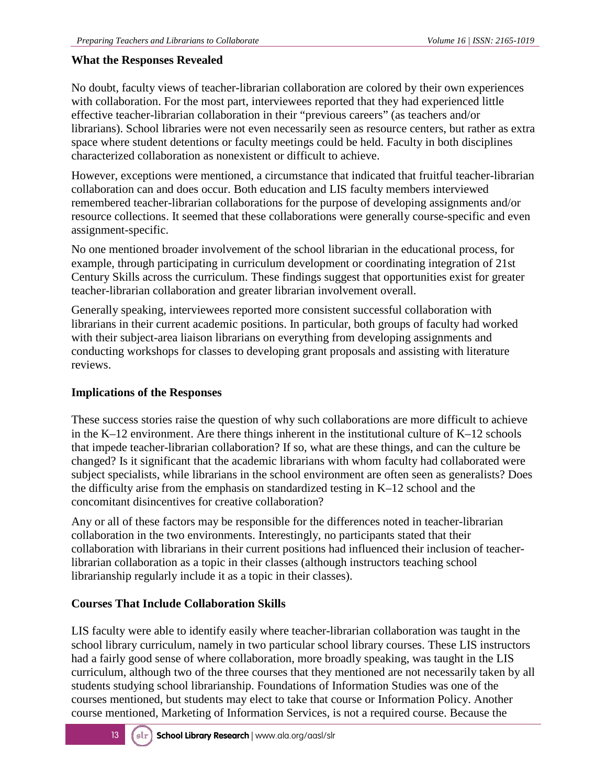#### **What the Responses Revealed**

No doubt, faculty views of teacher-librarian collaboration are colored by their own experiences with collaboration. For the most part, interviewees reported that they had experienced little effective teacher-librarian collaboration in their "previous careers" (as teachers and/or librarians). School libraries were not even necessarily seen as resource centers, but rather as extra space where student detentions or faculty meetings could be held. Faculty in both disciplines characterized collaboration as nonexistent or difficult to achieve.

However, exceptions were mentioned, a circumstance that indicated that fruitful teacher-librarian collaboration can and does occur. Both education and LIS faculty members interviewed remembered teacher-librarian collaborations for the purpose of developing assignments and/or resource collections. It seemed that these collaborations were generally course-specific and even assignment-specific.

No one mentioned broader involvement of the school librarian in the educational process, for example, through participating in curriculum development or coordinating integration of 21st Century Skills across the curriculum. These findings suggest that opportunities exist for greater teacher-librarian collaboration and greater librarian involvement overall.

Generally speaking, interviewees reported more consistent successful collaboration with librarians in their current academic positions. In particular, both groups of faculty had worked with their subject-area liaison librarians on everything from developing assignments and conducting workshops for classes to developing grant proposals and assisting with literature reviews.

#### **Implications of the Responses**

These success stories raise the question of why such collaborations are more difficult to achieve in the K–12 environment. Are there things inherent in the institutional culture of K–12 schools that impede teacher-librarian collaboration? If so, what are these things, and can the culture be changed? Is it significant that the academic librarians with whom faculty had collaborated were subject specialists, while librarians in the school environment are often seen as generalists? Does the difficulty arise from the emphasis on standardized testing in K–12 school and the concomitant disincentives for creative collaboration?

Any or all of these factors may be responsible for the differences noted in teacher-librarian collaboration in the two environments. Interestingly, no participants stated that their collaboration with librarians in their current positions had influenced their inclusion of teacherlibrarian collaboration as a topic in their classes (although instructors teaching school librarianship regularly include it as a topic in their classes).

### **Courses That Include Collaboration Skills**

LIS faculty were able to identify easily where teacher-librarian collaboration was taught in the school library curriculum, namely in two particular school library courses. These LIS instructors had a fairly good sense of where collaboration, more broadly speaking, was taught in the LIS curriculum, although two of the three courses that they mentioned are not necessarily taken by all students studying school librarianship. Foundations of Information Studies was one of the courses mentioned, but students may elect to take that course or Information Policy. Another course mentioned, Marketing of Information Services, is not a required course. Because the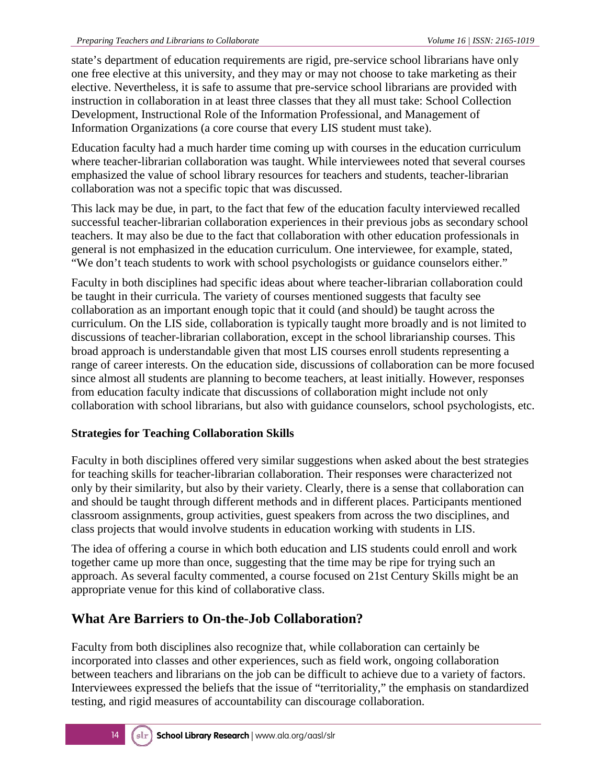state's department of education requirements are rigid, pre-service school librarians have only one free elective at this university, and they may or may not choose to take marketing as their elective. Nevertheless, it is safe to assume that pre-service school librarians are provided with instruction in collaboration in at least three classes that they all must take: School Collection Development, Instructional Role of the Information Professional, and Management of Information Organizations (a core course that every LIS student must take).

Education faculty had a much harder time coming up with courses in the education curriculum where teacher-librarian collaboration was taught. While interviewees noted that several courses emphasized the value of school library resources for teachers and students, teacher-librarian collaboration was not a specific topic that was discussed.

This lack may be due, in part, to the fact that few of the education faculty interviewed recalled successful teacher-librarian collaboration experiences in their previous jobs as secondary school teachers. It may also be due to the fact that collaboration with other education professionals in general is not emphasized in the education curriculum. One interviewee, for example, stated, "We don't teach students to work with school psychologists or guidance counselors either."

Faculty in both disciplines had specific ideas about where teacher-librarian collaboration could be taught in their curricula. The variety of courses mentioned suggests that faculty see collaboration as an important enough topic that it could (and should) be taught across the curriculum. On the LIS side, collaboration is typically taught more broadly and is not limited to discussions of teacher-librarian collaboration, except in the school librarianship courses. This broad approach is understandable given that most LIS courses enroll students representing a range of career interests. On the education side, discussions of collaboration can be more focused since almost all students are planning to become teachers, at least initially. However, responses from education faculty indicate that discussions of collaboration might include not only collaboration with school librarians, but also with guidance counselors, school psychologists, etc.

### **Strategies for Teaching Collaboration Skills**

Faculty in both disciplines offered very similar suggestions when asked about the best strategies for teaching skills for teacher-librarian collaboration. Their responses were characterized not only by their similarity, but also by their variety. Clearly, there is a sense that collaboration can and should be taught through different methods and in different places. Participants mentioned classroom assignments, group activities, guest speakers from across the two disciplines, and class projects that would involve students in education working with students in LIS.

The idea of offering a course in which both education and LIS students could enroll and work together came up more than once, suggesting that the time may be ripe for trying such an approach. As several faculty commented, a course focused on 21st Century Skills might be an appropriate venue for this kind of collaborative class.

### **What Are Barriers to On-the-Job Collaboration?**

Faculty from both disciplines also recognize that, while collaboration can certainly be incorporated into classes and other experiences, such as field work, ongoing collaboration between teachers and librarians on the job can be difficult to achieve due to a variety of factors. Interviewees expressed the beliefs that the issue of "territoriality," the emphasis on standardized testing, and rigid measures of accountability can discourage collaboration.

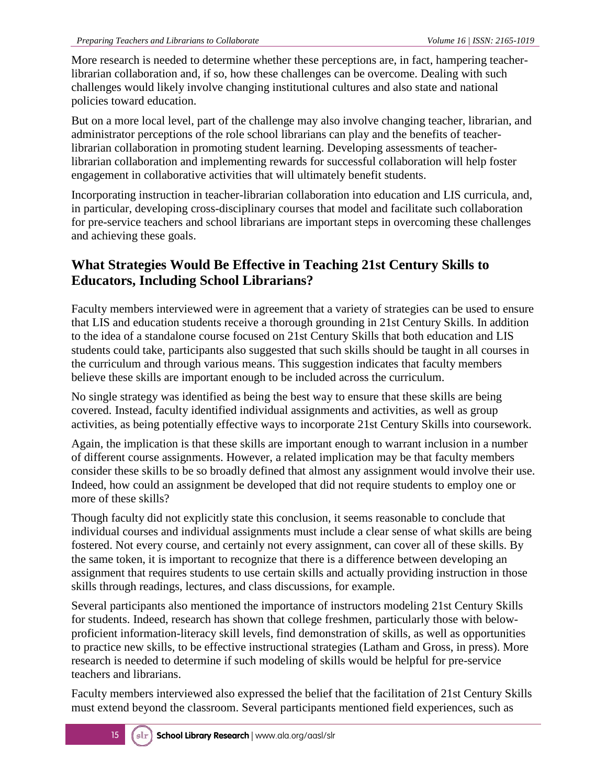More research is needed to determine whether these perceptions are, in fact, hampering teacherlibrarian collaboration and, if so, how these challenges can be overcome. Dealing with such challenges would likely involve changing institutional cultures and also state and national policies toward education.

But on a more local level, part of the challenge may also involve changing teacher, librarian, and administrator perceptions of the role school librarians can play and the benefits of teacherlibrarian collaboration in promoting student learning. Developing assessments of teacherlibrarian collaboration and implementing rewards for successful collaboration will help foster engagement in collaborative activities that will ultimately benefit students.

Incorporating instruction in teacher-librarian collaboration into education and LIS curricula, and, in particular, developing cross-disciplinary courses that model and facilitate such collaboration for pre-service teachers and school librarians are important steps in overcoming these challenges and achieving these goals.

### **What Strategies Would Be Effective in Teaching 21st Century Skills to Educators, Including School Librarians?**

Faculty members interviewed were in agreement that a variety of strategies can be used to ensure that LIS and education students receive a thorough grounding in 21st Century Skills. In addition to the idea of a standalone course focused on 21st Century Skills that both education and LIS students could take, participants also suggested that such skills should be taught in all courses in the curriculum and through various means. This suggestion indicates that faculty members believe these skills are important enough to be included across the curriculum.

No single strategy was identified as being the best way to ensure that these skills are being covered. Instead, faculty identified individual assignments and activities, as well as group activities, as being potentially effective ways to incorporate 21st Century Skills into coursework.

Again, the implication is that these skills are important enough to warrant inclusion in a number of different course assignments. However, a related implication may be that faculty members consider these skills to be so broadly defined that almost any assignment would involve their use. Indeed, how could an assignment be developed that did not require students to employ one or more of these skills?

Though faculty did not explicitly state this conclusion, it seems reasonable to conclude that individual courses and individual assignments must include a clear sense of what skills are being fostered. Not every course, and certainly not every assignment, can cover all of these skills. By the same token, it is important to recognize that there is a difference between developing an assignment that requires students to use certain skills and actually providing instruction in those skills through readings, lectures, and class discussions, for example.

Several participants also mentioned the importance of instructors modeling 21st Century Skills for students. Indeed, research has shown that college freshmen, particularly those with belowproficient information-literacy skill levels, find demonstration of skills, as well as opportunities to practice new skills, to be effective instructional strategies (Latham and Gross, in press). More research is needed to determine if such modeling of skills would be helpful for pre-service teachers and librarians.

Faculty members interviewed also expressed the belief that the facilitation of 21st Century Skills must extend beyond the classroom. Several participants mentioned field experiences, such as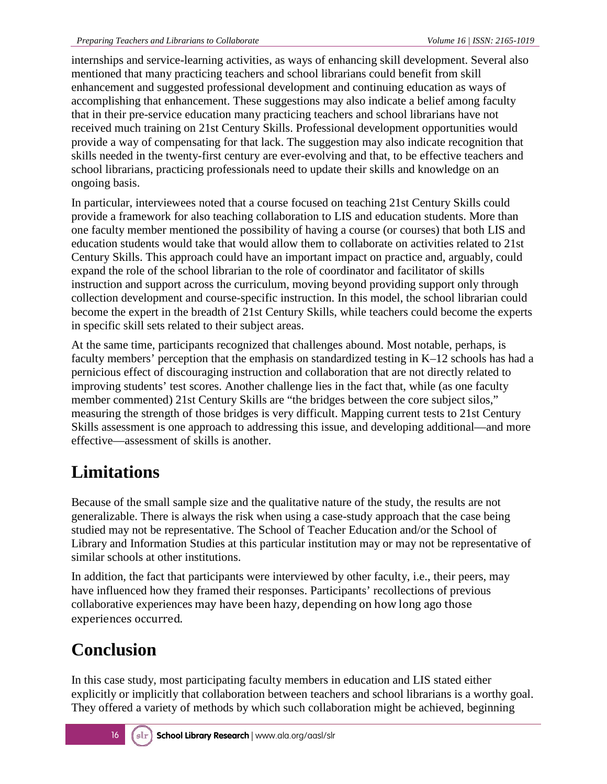internships and service-learning activities, as ways of enhancing skill development. Several also mentioned that many practicing teachers and school librarians could benefit from skill enhancement and suggested professional development and continuing education as ways of accomplishing that enhancement. These suggestions may also indicate a belief among faculty that in their pre-service education many practicing teachers and school librarians have not received much training on 21st Century Skills. Professional development opportunities would provide a way of compensating for that lack. The suggestion may also indicate recognition that skills needed in the twenty-first century are ever-evolving and that, to be effective teachers and school librarians, practicing professionals need to update their skills and knowledge on an ongoing basis.

In particular, interviewees noted that a course focused on teaching 21st Century Skills could provide a framework for also teaching collaboration to LIS and education students. More than one faculty member mentioned the possibility of having a course (or courses) that both LIS and education students would take that would allow them to collaborate on activities related to 21st Century Skills. This approach could have an important impact on practice and, arguably, could expand the role of the school librarian to the role of coordinator and facilitator of skills instruction and support across the curriculum, moving beyond providing support only through collection development and course-specific instruction. In this model, the school librarian could become the expert in the breadth of 21st Century Skills, while teachers could become the experts in specific skill sets related to their subject areas.

At the same time, participants recognized that challenges abound. Most notable, perhaps, is faculty members' perception that the emphasis on standardized testing in K–12 schools has had a pernicious effect of discouraging instruction and collaboration that are not directly related to improving students' test scores. Another challenge lies in the fact that, while (as one faculty member commented) 21st Century Skills are "the bridges between the core subject silos," measuring the strength of those bridges is very difficult. Mapping current tests to 21st Century Skills assessment is one approach to addressing this issue, and developing additional—and more effective—assessment of skills is another.

# **Limitations**

Because of the small sample size and the qualitative nature of the study, the results are not generalizable. There is always the risk when using a case-study approach that the case being studied may not be representative. The School of Teacher Education and/or the School of Library and Information Studies at this particular institution may or may not be representative of similar schools at other institutions.

In addition, the fact that participants were interviewed by other faculty, i.e., their peers, may have influenced how they framed their responses. Participants' recollections of previous collaborative experiences may have been hazy, depending on how long ago those experiences occurred.

# **Conclusion**

In this case study, most participating faculty members in education and LIS stated either explicitly or implicitly that collaboration between teachers and school librarians is a worthy goal. They offered a variety of methods by which such collaboration might be achieved, beginning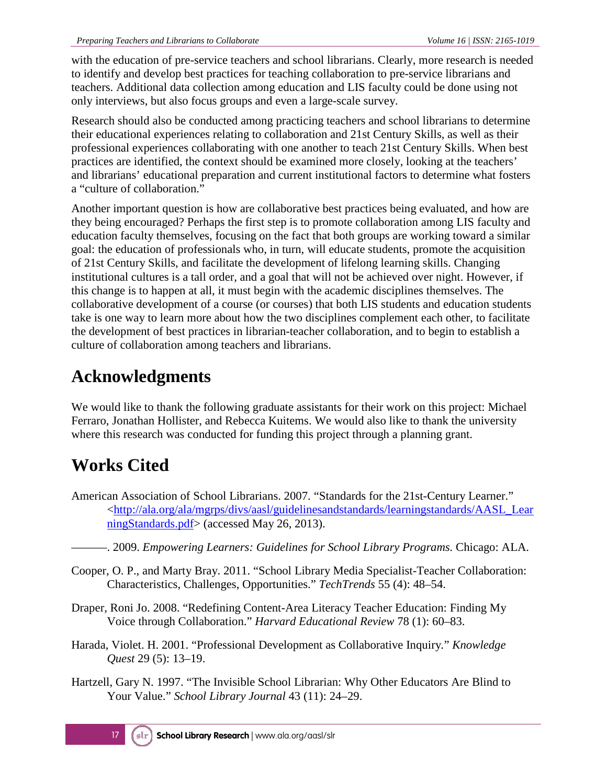with the education of pre-service teachers and school librarians. Clearly, more research is needed to identify and develop best practices for teaching collaboration to pre-service librarians and teachers. Additional data collection among education and LIS faculty could be done using not only interviews, but also focus groups and even a large-scale survey.

Research should also be conducted among practicing teachers and school librarians to determine their educational experiences relating to collaboration and 21st Century Skills, as well as their professional experiences collaborating with one another to teach 21st Century Skills. When best practices are identified, the context should be examined more closely, looking at the teachers' and librarians' educational preparation and current institutional factors to determine what fosters a "culture of collaboration."

Another important question is how are collaborative best practices being evaluated, and how are they being encouraged? Perhaps the first step is to promote collaboration among LIS faculty and education faculty themselves, focusing on the fact that both groups are working toward a similar goal: the education of professionals who, in turn, will educate students, promote the acquisition of 21st Century Skills, and facilitate the development of lifelong learning skills. Changing institutional cultures is a tall order, and a goal that will not be achieved over night. However, if this change is to happen at all, it must begin with the academic disciplines themselves. The collaborative development of a course (or courses) that both LIS students and education students take is one way to learn more about how the two disciplines complement each other, to facilitate the development of best practices in librarian-teacher collaboration, and to begin to establish a culture of collaboration among teachers and librarians.

# **Acknowledgments**

We would like to thank the following graduate assistants for their work on this project: Michael Ferraro, Jonathan Hollister, and Rebecca Kuitems. We would also like to thank the university where this research was conducted for funding this project through a planning grant.

# **Works Cited**

- American Association of School Librarians. 2007. "Standards for the 21st-Century Learner." [<http://ala.org/ala/mgrps/divs/aasl/guidelinesandstandards/learningstandards/AASL\\_Lear](http://ala.org/ala/mgrps/divs/aasl/guidelinesandstandards/learningstandards/AASL_LearningStandards.pdf) [ningStandards.pdf>](http://ala.org/ala/mgrps/divs/aasl/guidelinesandstandards/learningstandards/AASL_LearningStandards.pdf) (accessed May 26, 2013).
	- ———. 2009. *Empowering Learners: Guidelines for School Library Programs.* Chicago: ALA.
- Cooper, O. P., and Marty Bray. 2011. "School Library Media Specialist-Teacher Collaboration: Characteristics, Challenges, Opportunities." *TechTrends* 55 (4): 48–54.
- Draper, Roni Jo. 2008. "Redefining Content-Area Literacy Teacher Education: Finding My Voice through Collaboration." *Harvard Educational Review* 78 (1): 60–83.
- Harada, Violet. H. 2001. "Professional Development as Collaborative Inquiry*.*" *Knowledge Quest* 29 (5): 13–19.
- Hartzell, Gary N. 1997. "The Invisible School Librarian: Why Other Educators Are Blind to Your Value." *School Library Journal* 43 (11): 24–29.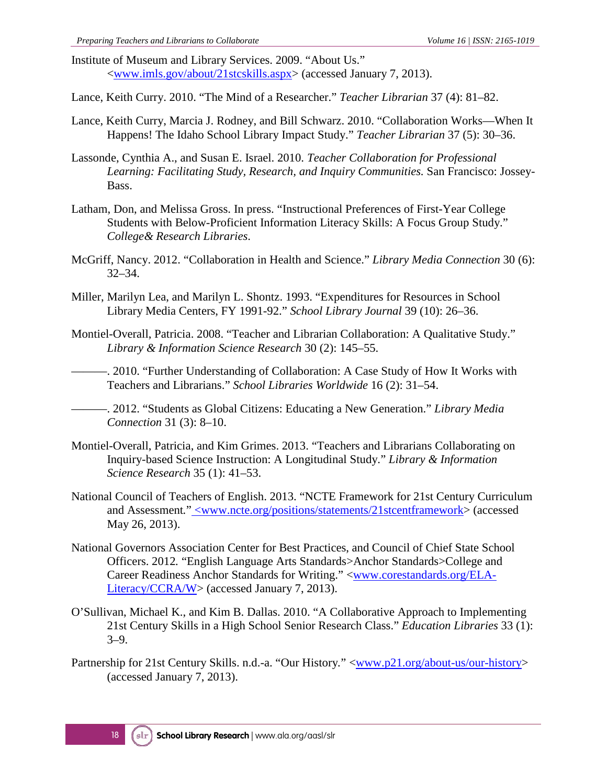Institute of Museum and Library Services. 2009. "About Us." [<www.imls.gov/about/21stcskills.aspx>](http://www.imls.gov/about/21stcskills.aspx) (accessed January 7, 2013).

Lance, Keith Curry. 2010. "The Mind of a Researcher." *Teacher Librarian* 37 (4): 81–82.

- Lance, Keith Curry, Marcia J. Rodney, and Bill Schwarz. 2010. "Collaboration Works—When It Happens! The Idaho School Library Impact Study." *Teacher Librarian* 37 (5): 30–36.
- Lassonde, Cynthia A., and Susan E. Israel. 2010. *Teacher Collaboration for Professional Learning: Facilitating Study, Research, and Inquiry Communities.* San Francisco: Jossey-Bass.
- Latham, Don, and Melissa Gross. In press. "Instructional Preferences of First-Year College Students with Below-Proficient Information Literacy Skills: A Focus Group Study." *College& Research Libraries*.
- McGriff, Nancy. 2012. "Collaboration in Health and Science." *Library Media Connection* 30 (6): 32–34.
- Miller, Marilyn Lea, and Marilyn L. Shontz. 1993. "Expenditures for Resources in School Library Media Centers, FY 1991-92." *School Library Journal* 39 (10): 26–36.
- Montiel-Overall, Patricia. 2008. "Teacher and Librarian Collaboration: A Qualitative Study." *Library & Information Science Research* 30 (2): 145–55.

———. 2010. "Further Understanding of Collaboration: A Case Study of How It Works with Teachers and Librarians." *School Libraries Worldwide* 16 (2): 31–54.

- ———. 2012. "Students as Global Citizens: Educating a New Generation." *Library Media Connection* 31 (3): 8–10.
- Montiel-Overall, Patricia, and Kim Grimes. 2013. "Teachers and Librarians Collaborating on Inquiry-based Science Instruction: A Longitudinal Study." *Library & Information Science Research* 35 (1): 41–53.
- National Council of Teachers of English. 2013. "NCTE Framework for 21st Century Curriculum and Assessment*.*" [<www.ncte.org/positions/statements/21stcentframework>](http://www.ncte.org/positions/statements/21stcentframework) (accessed May 26, 2013).
- National Governors Association Center for Best Practices, and Council of Chief State School Officers. 2012*.* "English Language Arts Standards>Anchor Standards>College and Career Readiness Anchor Standards for Writing." [<www.corestandards.org/ELA-](http://www.corestandards.org/ELA-Literacy/CCRA/W)[Literacy/CCRA/W>](http://www.corestandards.org/ELA-Literacy/CCRA/W) (accessed January 7, 2013).
- O'Sullivan, Michael K., and Kim B. Dallas. 2010. "A Collaborative Approach to Implementing 21st Century Skills in a High School Senior Research Class." *Education Libraries* 33 (1): 3–9.
- Partnership for 21st Century Skills. n.d.-a. "Our History*.*" [<www.p21.org/about-us/our-history>](http://www.p21.org/about-us/our-history) (accessed January 7, 2013).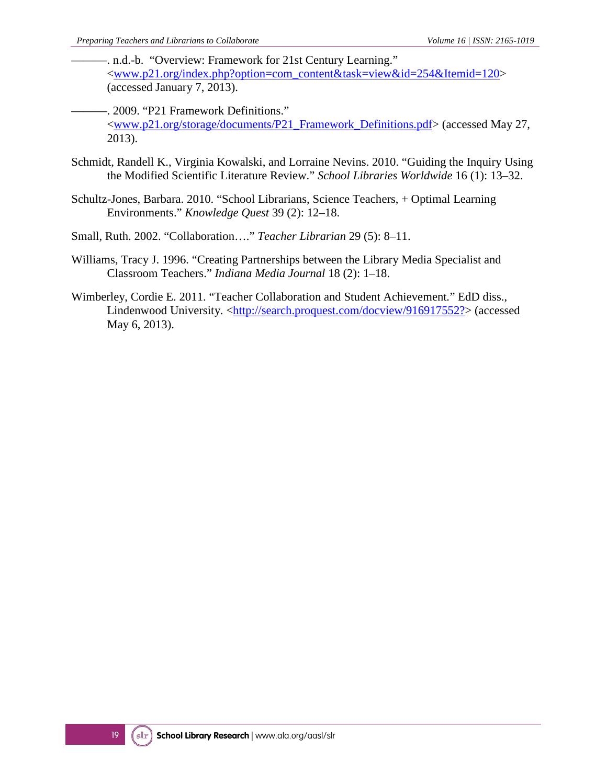- -. n.d.-b. "Overview: Framework for 21st Century Learning." [<www.p21.org/index.php?option=com\\_content&task=view&id=254&Itemid=120>](http://www.p21.org/index.php?option=com_content&task=view&id=254&Itemid=120) (accessed January 7, 2013).
- ———. 2009. "P21 Framework Definitions." [<www.p21.org/storage/documents/P21\\_Framework\\_Definitions.pdf>](http://www.p21.org/storage/documents/P21_Framework_Definitions.pdf) (accessed May 27, 2013).
- Schmidt, Randell K., Virginia Kowalski, and Lorraine Nevins. 2010. "Guiding the Inquiry Using the Modified Scientific Literature Review." *School Libraries Worldwide* 16 (1): 13–32.
- Schultz-Jones, Barbara. 2010. "School Librarians, Science Teachers, + Optimal Learning Environments." *Knowledge Quest* 39 (2): 12–18.
- Small, Ruth. 2002. "Collaboration…." *Teacher Librarian* 29 (5): 8–11.
- Williams, Tracy J. 1996. "Creating Partnerships between the Library Media Specialist and Classroom Teachers." *Indiana Media Journal* 18 (2): 1–18.
- Wimberley, Cordie E. 2011. "Teacher Collaboration and Student Achievement*.*" EdD diss., Lindenwood University. [<http://search.proquest.com/docview/916917552?>](http://search.proquest.com/docview/916917552?) (accessed May 6, 2013).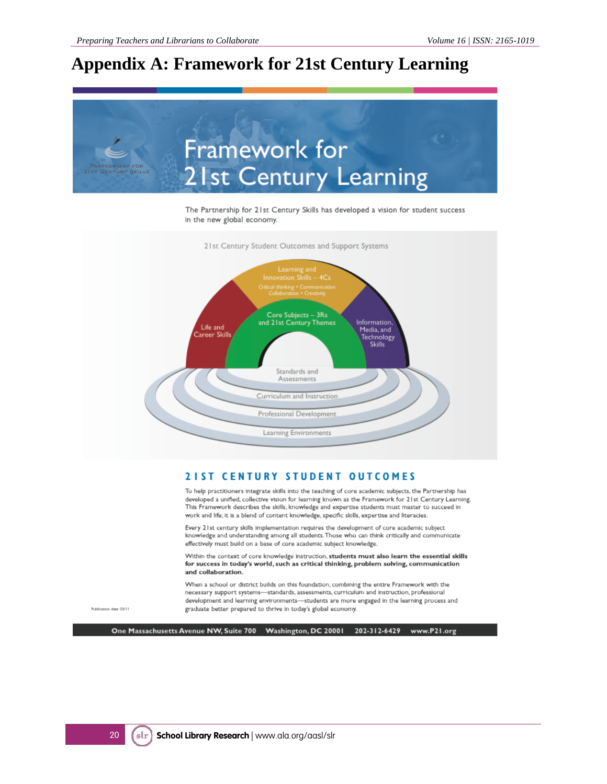### **Appendix A: Framework for 21st Century Learning**



The Partnership for 21st Century Skills has developed a vision for student success in the new global economy.



#### **2IST CENTURY STUDENT OUTCOMES**

To help practitioners integrate skills into the teaching of core academic subjects, the Partnership has developed a unified, collective vision for learning known as the Framework for 21st Century Learning. This Framework describes the skills, knowledge and expertise students must master to succeed in work and life; it is a blend of content knowledge, specific skills, expertise and literacies.

Every 21st century skills implementation requires the development of core academic subject knowledge and understanding among all students. Those who can think critically and communicate effectively must build on a base of core academic subject knowledge.

Within the context of core knowledge instruction, students must also learn the essential skills for success in today's world, such as critical thinking, problem solving, communication and collaboration.

When a school or district builds on this foundation, combining the entire Framework with the necessary support systems-standards, assessments, curriculum and instruction, professional development and learning environments-students are more engaged in the learning process and graduate better prepared to thrive in today's global economy.

Publication date: 03/11

One Massachusetts Avenue NW, Suite 700 Washington, DC 20001 202-312-6429 www.P21.org

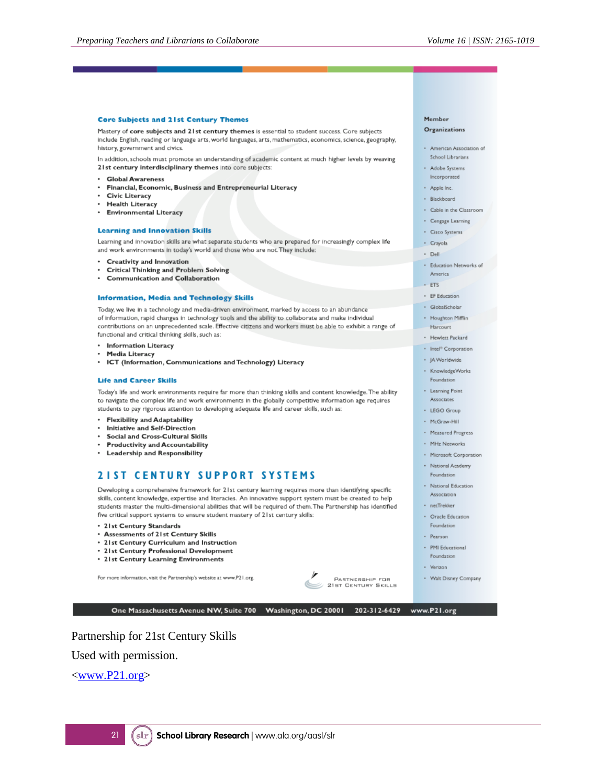#### **Core Subjects and 21st Century Themes**

Mastery of core subjects and 21st century themes is essential to student success. Core subjects include English, reading or language arts, world languages, arts, mathematics, economics, science, geography, history, government and civics.

In addition, schools must promote an understanding of academic content at much higher levels by weaving 21st century interdisciplinary themes into core subjects:

- Global Awareness
- Financial, Economic, Business and Entrepreneurial Literacy
- **Civic Literacy**
- **Health Literacy**
- Environmental Literacy

#### **Learning and Innovation Skills**

Learning and innovation skills are what separate students who are prepared for increasingly complex life and work environments in today's world and those who are not. They include:

- Creativity and Innovation
- **Critical Thinking and Problem Solving**
- Communication and Collaboration

#### **Information, Media and Technology Skills**

Today, we live in a technology and media-driven environment, marked by access to an abundance of information, rapid changes in technology tools and the ability to collaborate and make individual contributions on an unprecedented scale. Effective citizens and workers must be able to exhibit a range of functional and critical thinking skills, such as:

- Information Literacy
- Media Literacy
- ICT (Information, Communications and Technology) Literacy

#### **Life and Career Skills**

Today's life and work environments require far more than thinking skills and content knowledge. The ability to navigate the complex life and work environments in the globally competitive information age requires students to pay rigorous attention to developing adequate life and career skills, such as:

- Flexibility and Adaptability
- Initiative and Self-Direction
- Social and Cross-Cultural Skills
- **Productivity and Accountability**
- Leadership and Responsibility

#### **2IST CENTURY SUPPORT SYSTEMS**

Developing a comprehensive framework for 21st century learning requires more than identifying specific skills, content knowledge, expertise and literacies. An innovative support system must be created to help students master the multi-dimensional abilities that will be required of them. The Partnership has identified five critical support systems to ensure student mastery of 21st century skills:

- 21st Century Standards
- Assessments of 21st Century Skills
- 21st Century Curriculum and Instruction
- 21st Century Professional Development
- 21st Century Learning Environments

For more information, visit the Partnership's website at www.P21.org



One Massachusetts Avenue NW, Suite 700 Washington, DC 20001 202-312-6429

### Member

#### Organizations

- · American Association of School Librarians
- \* Adobe Systems
- ncorporated
- Apple Inc.
- · Blackboard
- · Cable in the Classroom
- · Cengage Learning
- · Cisco Systems
- · Crayola
- · Dell
- · Education Networks of
- America  $-ETS$
- · EF Education
- · GlobalScholar
- · Houghton Mifflin
- Harcourt
- · Hewlett Packard
- · Intel<sup>®</sup> Corporation
- · JA Worldwide
- · KnowledgeWorks Foundation
- Learning Point Associates
- · LEGO Group
- · McGraw-Hill
- · Measured Progress
- · MHz Networks
- · Microsoft Corporation
- · National Academy
- Foundation
- · National Education Association
- · necTrekker
- · Oracle Education
- Foundation
- · Pearson · PMI Educational
- Foundation
- · Verizon
- · Walt Disney Company

www.P21.org

Partnership for 21st Century Skills

Used with permission.

[<www.P21.org>](http://www.p21.org/)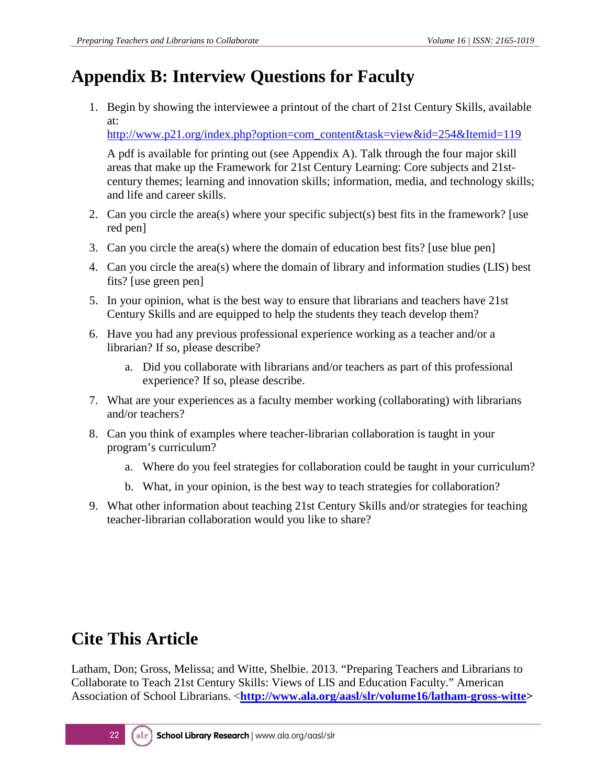## **Appendix B: Interview Questions for Faculty**

1. Begin by showing the interviewee a printout of the chart of 21st Century Skills, available at:

[http://www.p21.org/index.php?option=com\\_content&task=view&id=254&Itemid=119](http://www.p21.org/index.php?option=com_content&task=view&id=254&Itemid=119)

A pdf is available for printing out (see Appendix A). Talk through the four major skill areas that make up the Framework for 21st Century Learning: Core subjects and 21stcentury themes; learning and innovation skills; information, media, and technology skills; and life and career skills.

- 2. Can you circle the area(s) where your specific subject(s) best fits in the framework? [use red pen]
- 3. Can you circle the area(s) where the domain of education best fits? [use blue pen]
- 4. Can you circle the area(s) where the domain of library and information studies (LIS) best fits? [use green pen]
- 5. In your opinion, what is the best way to ensure that librarians and teachers have 21st Century Skills and are equipped to help the students they teach develop them?
- 6. Have you had any previous professional experience working as a teacher and/or a librarian? If so, please describe?
	- a. Did you collaborate with librarians and/or teachers as part of this professional experience? If so, please describe.
- 7. What are your experiences as a faculty member working (collaborating) with librarians and/or teachers?
- 8. Can you think of examples where teacher-librarian collaboration is taught in your program's curriculum?
	- a. Where do you feel strategies for collaboration could be taught in your curriculum?
	- b. What, in your opinion, is the best way to teach strategies for collaboration?
- 9. What other information about teaching 21st Century Skills and/or strategies for teaching teacher-librarian collaboration would you like to share?

## **Cite This Article**

Latham, Don; Gross, Melissa; and Witte, Shelbie. 2013. "Preparing Teachers and Librarians to Collaborate to Teach 21st Century Skills: Views of LIS and Education Faculty." American Association of School Librarians. <**http://www.ala.org/aasl/slr/volume16/latham-gross-witte>**